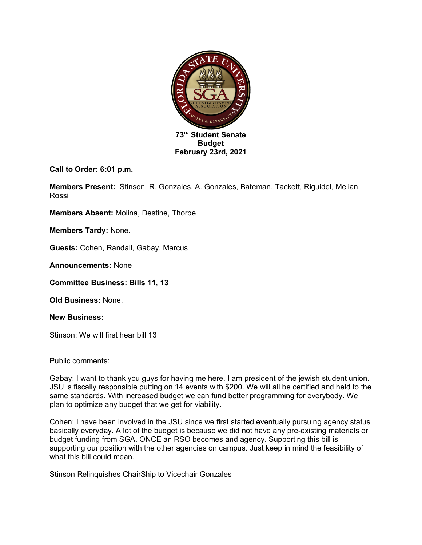

**Call to Order: 6:01 p.m.**

**Members Present:** Stinson, R. Gonzales, A. Gonzales, Bateman, Tackett, Riguidel, Melian, Rossi

**Members Absent:** Molina, Destine, Thorpe

**Members Tardy:** None**.**

**Guests:** Cohen, Randall, Gabay, Marcus

**Announcements:** None

**Committee Business: Bills 11, 13**

**Old Business:** None.

**New Business:** 

Stinson: We will first hear bill 13

Public comments:

Gabay: I want to thank you guys for having me here. I am president of the jewish student union. JSU is fiscally responsible putting on 14 events with \$200. We will all be certified and held to the same standards. With increased budget we can fund better programming for everybody. We plan to optimize any budget that we get for viability.

Cohen: I have been involved in the JSU since we first started eventually pursuing agency status basically everyday. A lot of the budget is because we did not have any pre-existing materials or budget funding from SGA. ONCE an RSO becomes and agency. Supporting this bill is supporting our position with the other agencies on campus. Just keep in mind the feasibility of what this bill could mean.

Stinson Relinquishes ChairShip to Vicechair Gonzales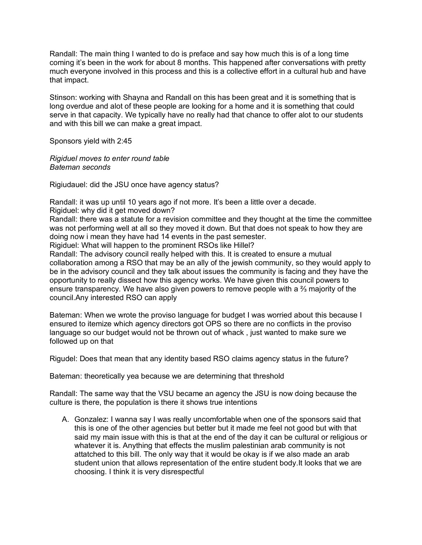Randall: The main thing I wanted to do is preface and say how much this is of a long time coming it's been in the work for about 8 months. This happened after conversations with pretty much everyone involved in this process and this is a collective effort in a cultural hub and have that impact.

Stinson: working with Shayna and Randall on this has been great and it is something that is long overdue and alot of these people are looking for a home and it is something that could serve in that capacity. We typically have no really had that chance to offer alot to our students and with this bill we can make a great impact.

Sponsors yield with 2:45

*Rigiduel moves to enter round table Bateman seconds*

Rigiudauel: did the JSU once have agency status?

Randall: it was up until 10 years ago if not more. It's been a little over a decade.

Rigiduel: why did it get moved down?

Randall: there was a statute for a revision committee and they thought at the time the committee was not performing well at all so they moved it down. But that does not speak to how they are doing now i mean they have had 14 events in the past semester.

Rigiduel: What will happen to the prominent RSOs like Hillel?

Randall: The advisory council really helped with this. It is created to ensure a mutual collaboration among a RSO that may be an ally of the jewish community, so they would apply to be in the advisory council and they talk about issues the community is facing and they have the opportunity to really dissect how this agency works. We have given this council powers to ensure transparency. We have also given powers to remove people with a ⅔ majority of the council.Any interested RSO can apply

Bateman: When we wrote the proviso language for budget I was worried about this because I ensured to itemize which agency directors got OPS so there are no conflicts in the proviso language so our budget would not be thrown out of whack , just wanted to make sure we followed up on that

Rigudel: Does that mean that any identity based RSO claims agency status in the future?

Bateman: theoretically yea because we are determining that threshold

Randall: The same way that the VSU became an agency the JSU is now doing because the culture is there, the population is there it shows true intentions

A. Gonzalez: I wanna say I was really uncomfortable when one of the sponsors said that this is one of the other agencies but better but it made me feel not good but with that said my main issue with this is that at the end of the day it can be cultural or religious or whatever it is. Anything that effects the muslim palestinian arab community is not attatched to this bill. The only way that it would be okay is if we also made an arab student union that allows representation of the entire student body.It looks that we are choosing. I think it is very disrespectful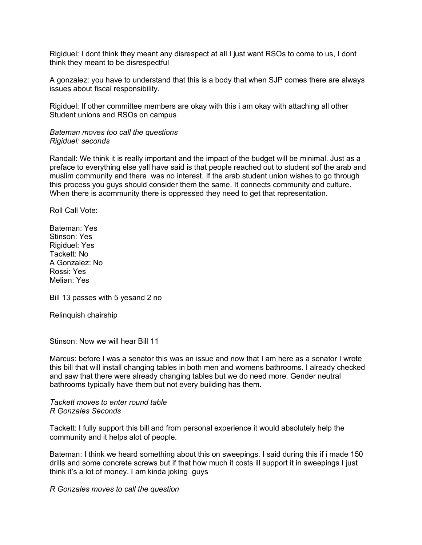Rigiduel: I dont think they meant any disrespect at all I just want RSOs to come to us, I dont think they meant to be disrespectful

A gonzalez: you have to understand that this is a body that when SJP comes there are always issues about fiscal responsibility.

Rigiduel: If other committee members are okay with this i am okay with attaching all other Student unions and RSOs on campus

## *Bateman moves too call the questions Rigiduel: seconds*

Randall: We think it is really important and the impact of the budget will be minimal. Just as a preface to everything else yall have said is that people reached out to student sof the arab and muslim community and there was no interest. If the arab student union wishes to go through this process you guys should consider them the same. It connects community and culture. When there is acommunity there is oppressed they need to get that representation.

Roll Call Vote:

Bateman: Yes Stinson: Yes Rigiduel: Yes Tackett: No A Gonzalez: No Rossi: Yes Melian: Yes

Bill 13 passes with 5 yesand 2 no

Relinquish chairship

Stinson: Now we will hear Bill 11

Marcus: before I was a senator this was an issue and now that I am here as a senator I wrote this bill that will install changing tables in both men and womens bathrooms. I already checked and saw that there were already changing tables but we do need more. Gender neutral bathrooms typically have them but not every building has them.

## *Tackett moves to enter round table R Gonzales Seconds*

Tackett: I fully support this bill and from personal experience it would absolutely help the community and it helps alot of people.

Bateman: I think we heard something about this on sweepings. I said during this if i made 150 drills and some concrete screws but if that how much it costs ill support it in sweepings I just think it's a lot of money. I am kinda joking guys

*R Gonzales moves to call the question*